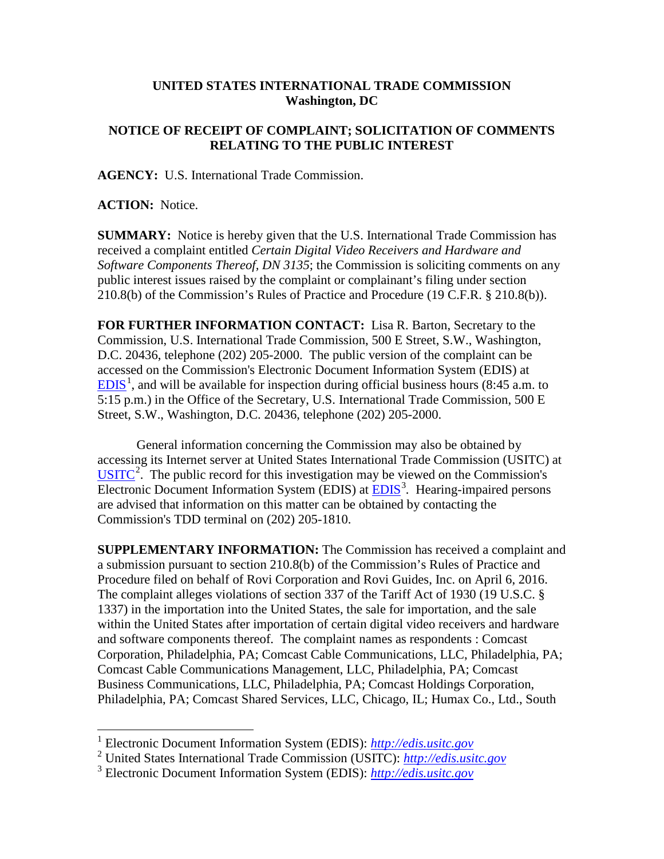## **UNITED STATES INTERNATIONAL TRADE COMMISSION Washington, DC**

## **NOTICE OF RECEIPT OF COMPLAINT; SOLICITATION OF COMMENTS RELATING TO THE PUBLIC INTEREST**

**AGENCY:** U.S. International Trade Commission.

**ACTION:** Notice.

**SUMMARY:** Notice is hereby given that the U.S. International Trade Commission has received a complaint entitled *Certain Digital Video Receivers and Hardware and Software Components Thereof, DN 3135*; the Commission is soliciting comments on any public interest issues raised by the complaint or complainant's filing under section 210.8(b) of the Commission's Rules of Practice and Procedure (19 C.F.R. § 210.8(b)).

**FOR FURTHER INFORMATION CONTACT:** Lisa R. Barton, Secretary to the Commission, U.S. International Trade Commission, 500 E Street, S.W., Washington, D.C. 20436, telephone (202) 205-2000. The public version of the complaint can be accessed on the Commission's Electronic Document Information System (EDIS) at  $EDIS<sup>1</sup>$  $EDIS<sup>1</sup>$  $EDIS<sup>1</sup>$  $EDIS<sup>1</sup>$ , and will be available for inspection during official business hours (8:45 a.m. to 5:15 p.m.) in the Office of the Secretary, U.S. International Trade Commission, 500 E Street, S.W., Washington, D.C. 20436, telephone (202) 205-2000.

General information concerning the Commission may also be obtained by accessing its Internet server at United States International Trade Commission (USITC) at  $\overline{USTTC}^2$  $\overline{USTTC}^2$ . The public record for this investigation may be viewed on the Commission's Electronic Document Information System (EDIS) at **EDIS**<sup>[3](#page-0-2)</sup>. Hearing-impaired persons are advised that information on this matter can be obtained by contacting the Commission's TDD terminal on (202) 205-1810.

**SUPPLEMENTARY INFORMATION:** The Commission has received a complaint and a submission pursuant to section 210.8(b) of the Commission's Rules of Practice and Procedure filed on behalf of Rovi Corporation and Rovi Guides, Inc. on April 6, 2016. The complaint alleges violations of section 337 of the Tariff Act of 1930 (19 U.S.C. § 1337) in the importation into the United States, the sale for importation, and the sale within the United States after importation of certain digital video receivers and hardware and software components thereof. The complaint names as respondents : Comcast Corporation, Philadelphia, PA; Comcast Cable Communications, LLC, Philadelphia, PA; Comcast Cable Communications Management, LLC, Philadelphia, PA; Comcast Business Communications, LLC, Philadelphia, PA; Comcast Holdings Corporation, Philadelphia, PA; Comcast Shared Services, LLC, Chicago, IL; Humax Co., Ltd., South

<span id="page-0-0"></span> <sup>1</sup> Electronic Document Information System (EDIS): *[http://edis.usitc.gov](http://edis.usitc.gov/)*

<span id="page-0-1"></span><sup>2</sup> United States International Trade Commission (USITC): *[http://edis.usitc.gov](http://edis.usitc.gov/)*

<span id="page-0-2"></span><sup>3</sup> Electronic Document Information System (EDIS): *[http://edis.usitc.gov](http://edis.usitc.gov/)*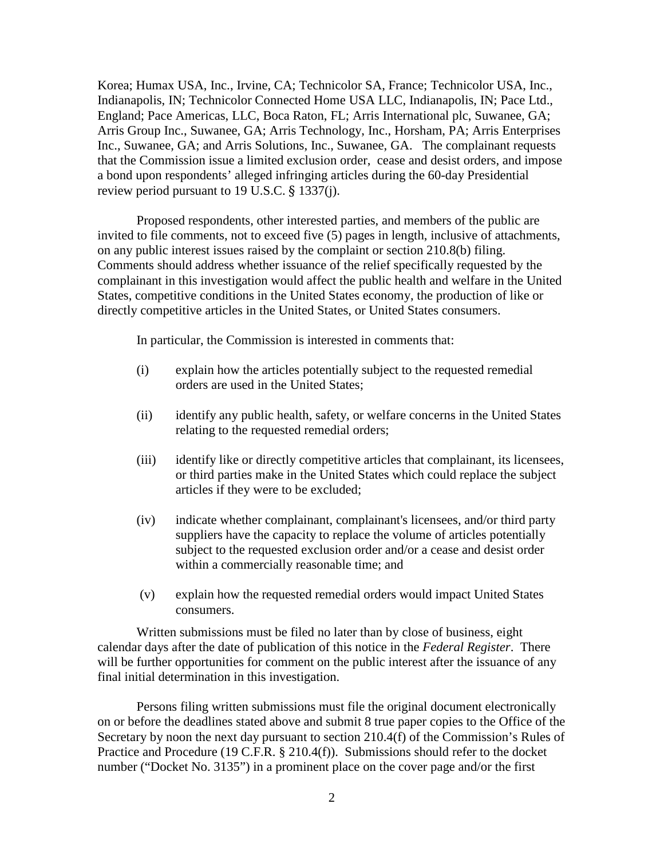Korea; Humax USA, Inc., Irvine, CA; Technicolor SA, France; Technicolor USA, Inc., Indianapolis, IN; Technicolor Connected Home USA LLC, Indianapolis, IN; Pace Ltd., England; Pace Americas, LLC, Boca Raton, FL; Arris International plc, Suwanee, GA; Arris Group Inc., Suwanee, GA; Arris Technology, Inc., Horsham, PA; Arris Enterprises Inc., Suwanee, GA; and Arris Solutions, Inc., Suwanee, GA. The complainant requests that the Commission issue a limited exclusion order, cease and desist orders, and impose a bond upon respondents' alleged infringing articles during the 60-day Presidential review period pursuant to 19 U.S.C. § 1337(j).

Proposed respondents, other interested parties, and members of the public are invited to file comments, not to exceed five (5) pages in length, inclusive of attachments, on any public interest issues raised by the complaint or section 210.8(b) filing. Comments should address whether issuance of the relief specifically requested by the complainant in this investigation would affect the public health and welfare in the United States, competitive conditions in the United States economy, the production of like or directly competitive articles in the United States, or United States consumers.

In particular, the Commission is interested in comments that:

- (i) explain how the articles potentially subject to the requested remedial orders are used in the United States;
- (ii) identify any public health, safety, or welfare concerns in the United States relating to the requested remedial orders;
- (iii) identify like or directly competitive articles that complainant, its licensees, or third parties make in the United States which could replace the subject articles if they were to be excluded;
- (iv) indicate whether complainant, complainant's licensees, and/or third party suppliers have the capacity to replace the volume of articles potentially subject to the requested exclusion order and/or a cease and desist order within a commercially reasonable time; and
- (v) explain how the requested remedial orders would impact United States consumers.

Written submissions must be filed no later than by close of business, eight calendar days after the date of publication of this notice in the *Federal Register*. There will be further opportunities for comment on the public interest after the issuance of any final initial determination in this investigation.

Persons filing written submissions must file the original document electronically on or before the deadlines stated above and submit 8 true paper copies to the Office of the Secretary by noon the next day pursuant to section 210.4(f) of the Commission's Rules of Practice and Procedure (19 C.F.R. § 210.4(f)). Submissions should refer to the docket number ("Docket No. 3135") in a prominent place on the cover page and/or the first